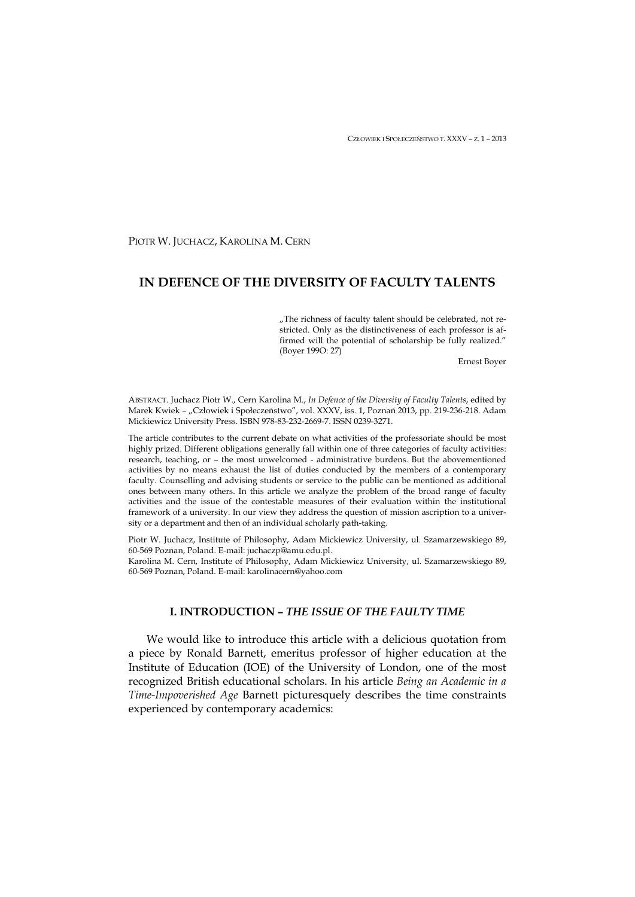CZŁOWIEK I SPOŁECZEŃSTWO T. XXXV – Z. 1 – 2013

PIOTR W. JUCHACZ, KAROLINA M. CERN

# **IN DEFENCE OF THE DIVERSITY OF FACULTY TALENTS**

"The richness of faculty talent should be celebrated, not restricted. Only as the distinctiveness of each professor is affirmed will the potential of scholarship be fully realized." (Boyer 199O: 27)

Ernest Boyer

ABSTRACT. Juchacz Piotr W., Cern Karolina M., *In Defence of the Diversity of Faculty Talents*, edited by Marek Kwiek - "Człowiek i Społeczeństwo", vol. XXXV, iss. 1, Poznań 2013, pp. 219-236-218. Adam Mickiewicz University Press. ISBN 978-83-232-2669-7. ISSN 0239-3271.

The article contributes to the current debate on what activities of the professoriate should be most highly prized. Different obligations generally fall within one of three categories of faculty activities: research, teaching, or – the most unwelcomed - administrative burdens. But the abovementioned activities by no means exhaust the list of duties conducted by the members of a contemporary faculty. Counselling and advising students or service to the public can be mentioned as additional ones between many others. In this article we analyze the problem of the broad range of faculty activities and the issue of the contestable measures of their evaluation within the institutional framework of a university. In our view they address the question of mission ascription to a university or a department and then of an individual scholarly path-taking.

Piotr W. Juchacz, Institute of Philosophy, Adam Mickiewicz University, ul. Szamarzewskiego 89, 60-569 Poznan, Poland. E-mail: juchaczp@amu.edu.pl.

Karolina M. Cern, Institute of Philosophy, Adam Mickiewicz University, ul. Szamarzewskiego 89, 60-569 Poznan, Poland. E-mail: karolinacern@yahoo.com

## **I. INTRODUCTION –** *THE ISSUE OF THE FAULTY TIME*

We would like to introduce this article with a delicious quotation from a piece by Ronald Barnett, emeritus professor of higher education at the Institute of Education (IOE) of the University of London, one of the most recognized British educational scholars. In his article *Being an Academic in a Time-Impoverished Age* Barnett picturesquely describes the time constraints experienced by contemporary academics: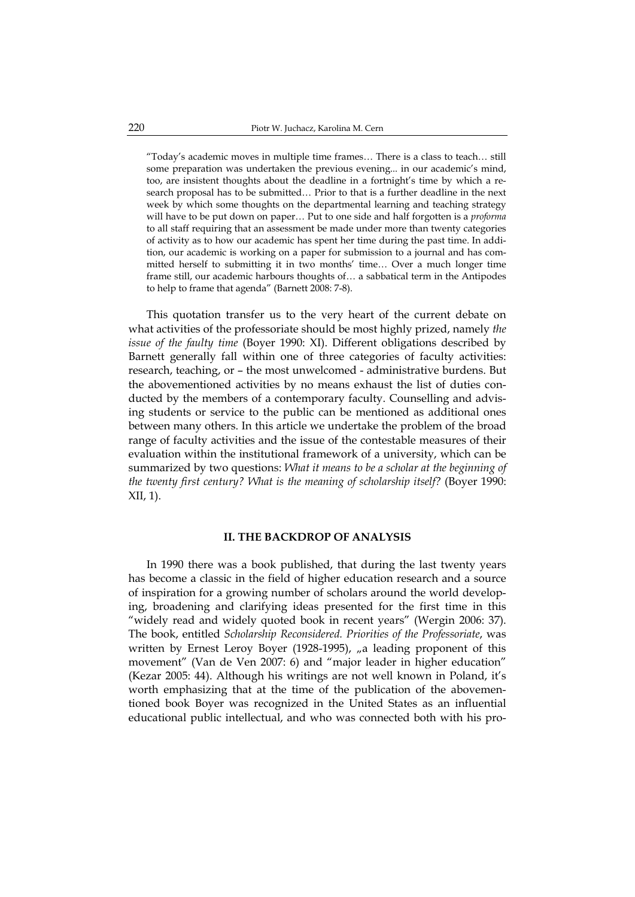"Today's academic moves in multiple time frames… There is a class to teach… still some preparation was undertaken the previous evening... in our academic's mind, too, are insistent thoughts about the deadline in a fortnight's time by which a research proposal has to be submitted… Prior to that is a further deadline in the next week by which some thoughts on the departmental learning and teaching strategy will have to be put down on paper… Put to one side and half forgotten is a *proforma*  to all staff requiring that an assessment be made under more than twenty categories of activity as to how our academic has spent her time during the past time. In addition, our academic is working on a paper for submission to a journal and has committed herself to submitting it in two months' time… Over a much longer time frame still, our academic harbours thoughts of… a sabbatical term in the Antipodes to help to frame that agenda" (Barnett 2008: 7-8).

This quotation transfer us to the very heart of the current debate on what activities of the professoriate should be most highly prized, namely *the issue of the faulty time* (Boyer 1990: XI). Different obligations described by Barnett generally fall within one of three categories of faculty activities: research, teaching, or – the most unwelcomed - administrative burdens. But the abovementioned activities by no means exhaust the list of duties conducted by the members of a contemporary faculty. Counselling and advising students or service to the public can be mentioned as additional ones between many others. In this article we undertake the problem of the broad range of faculty activities and the issue of the contestable measures of their evaluation within the institutional framework of a university, which can be summarized by two questions: *What it means to be a scholar at the beginning of the twenty first century? What is the meaning of scholarship itself?* (Boyer 1990: XII, 1).

### **II. THE BACKDROP OF ANALYSIS**

In 1990 there was a book published, that during the last twenty years has become a classic in the field of higher education research and a source of inspiration for a growing number of scholars around the world developing, broadening and clarifying ideas presented for the first time in this "widely read and widely quoted book in recent years" (Wergin 2006: 37). The book, entitled *Scholarship Reconsidered. Priorities of the Professoriate*, was written by Ernest Leroy Boyer (1928-1995), "a leading proponent of this movement" (Van de Ven 2007: 6) and "major leader in higher education" (Kezar 2005: 44). Although his writings are not well known in Poland, it's worth emphasizing that at the time of the publication of the abovementioned book Boyer was recognized in the United States as an influential educational public intellectual, and who was connected both with his pro-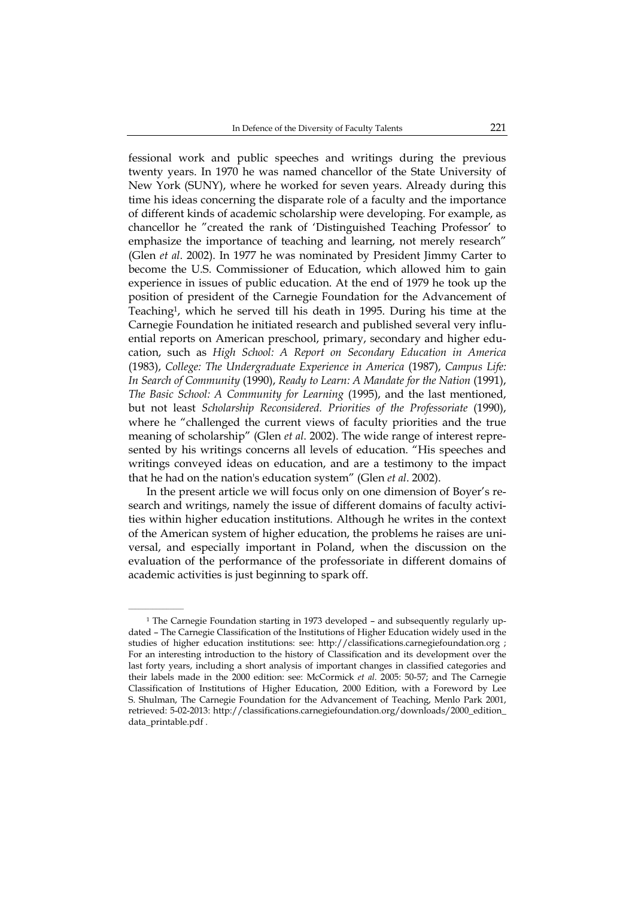fessional work and public speeches and writings during the previous twenty years. In 1970 he was named chancellor of the State University of New York (SUNY), where he worked for seven years. Already during this time his ideas concerning the disparate role of a faculty and the importance of different kinds of academic scholarship were developing. For example, as chancellor he "created the rank of 'Distinguished Teaching Professor' to emphasize the importance of teaching and learning, not merely research" (Glen *et al*. 2002). In 1977 he was nominated by President Jimmy Carter to become the U.S. Commissioner of Education, which allowed him to gain experience in issues of public education. At the end of 1979 he took up the position of president of the Carnegie Foundation for the Advancement of Teaching1, which he served till his death in 1995. During his time at the Carnegie Foundation he initiated research and published several very influential reports on American preschool, primary, secondary and higher education, such as *High School: A Report on Secondary Education in America* (1983), *College: The Undergraduate Experience in America* (1987), *Campus Life: In Search of Community* (1990), *Ready to Learn: A Mandate for the Nation* (1991), *The Basic School: A Community for Learning* (1995), and the last mentioned, but not least *Scholarship Reconsidered. Priorities of the Professoriate* (1990), where he "challenged the current views of faculty priorities and the true meaning of scholarship" (Glen *et al*. 2002). The wide range of interest represented by his writings concerns all levels of education. "His speeches and writings conveyed ideas on education, and are a testimony to the impact that he had on the nation's education system" (Glen *et al*. 2002).

In the present article we will focus only on one dimension of Boyer's research and writings, namely the issue of different domains of faculty activities within higher education institutions. Although he writes in the context of the American system of higher education, the problems he raises are universal, and especially important in Poland, when the discussion on the evaluation of the performance of the professoriate in different domains of academic activities is just beginning to spark off.

 $\mathcal{L}=\mathcal{L}=\mathcal{L}=\mathcal{L}=\mathcal{L}=\mathcal{L}=\mathcal{L}$ 

<sup>1</sup> The Carnegie Foundation starting in 1973 developed – and subsequently regularly updated – The Carnegie Classification of the Institutions of Higher Education widely used in the studies of higher education institutions: see: http://classifications.carnegiefoundation.org ; For an interesting introduction to the history of Classification and its development over the last forty years, including a short analysis of important changes in classified categories and their labels made in the 2000 edition: see: McCormick *et al*. 2005: 50-57; and The Carnegie Classification of Institutions of Higher Education, 2000 Edition, with a Foreword by Lee S. Shulman, The Carnegie Foundation for the Advancement of Teaching, Menlo Park 2001, retrieved: 5-02-2013: http://classifications.carnegiefoundation.org/downloads/2000\_edition\_ data\_printable.pdf .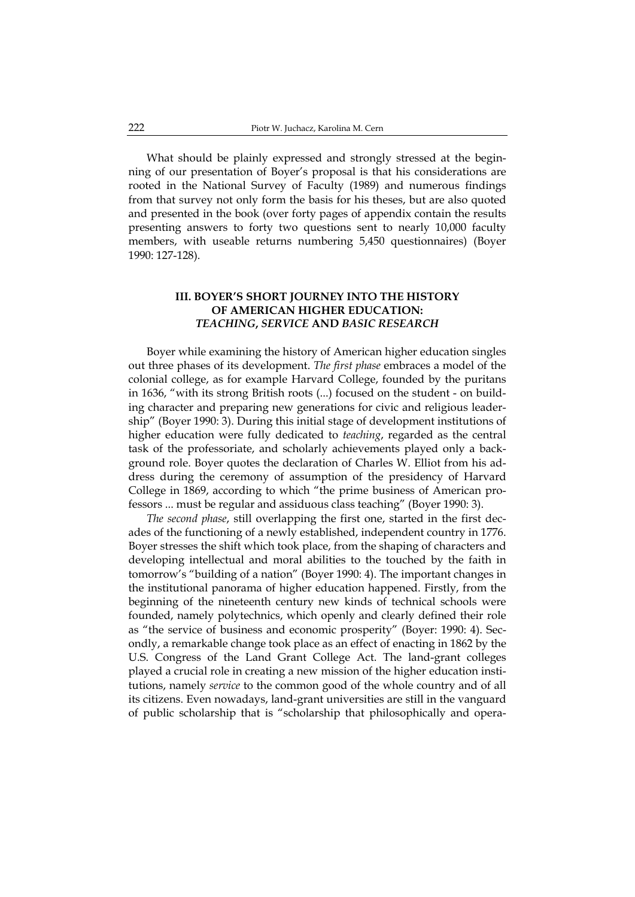What should be plainly expressed and strongly stressed at the beginning of our presentation of Boyer's proposal is that his considerations are rooted in the National Survey of Faculty (1989) and numerous findings from that survey not only form the basis for his theses, but are also quoted and presented in the book (over forty pages of appendix contain the results presenting answers to forty two questions sent to nearly 10,000 faculty members, with useable returns numbering 5,450 questionnaires) (Boyer 1990: 127-128).

# **III. BOYER'S SHORT JOURNEY INTO THE HISTORY OF AMERICAN HIGHER EDUCATION:**  *TEACHING***,** *SERVICE* **AND** *BASIC RESEARCH*

Boyer while examining the history of American higher education singles out three phases of its development. *The first phase* embraces a model of the colonial college, as for example Harvard College, founded by the puritans in 1636, "with its strong British roots (...) focused on the student - on building character and preparing new generations for civic and religious leadership" (Boyer 1990: 3). During this initial stage of development institutions of higher education were fully dedicated to *teaching*, regarded as the central task of the professoriate, and scholarly achievements played only a background role. Boyer quotes the declaration of Charles W. Elliot from his address during the ceremony of assumption of the presidency of Harvard College in 1869, according to which "the prime business of American professors ... must be regular and assiduous class teaching" (Boyer 1990: 3).

*The second phase*, still overlapping the first one, started in the first decades of the functioning of a newly established, independent country in 1776. Boyer stresses the shift which took place, from the shaping of characters and developing intellectual and moral abilities to the touched by the faith in tomorrow's "building of a nation" (Boyer 1990: 4). The important changes in the institutional panorama of higher education happened. Firstly, from the beginning of the nineteenth century new kinds of technical schools were founded, namely polytechnics, which openly and clearly defined their role as "the service of business and economic prosperity" (Boyer: 1990: 4). Secondly, a remarkable change took place as an effect of enacting in 1862 by the U.S. Congress of the Land Grant College Act. The land-grant colleges played a crucial role in creating a new mission of the higher education institutions, namely *service* to the common good of the whole country and of all its citizens. Even nowadays, land-grant universities are still in the vanguard of public scholarship that is "scholarship that philosophically and opera-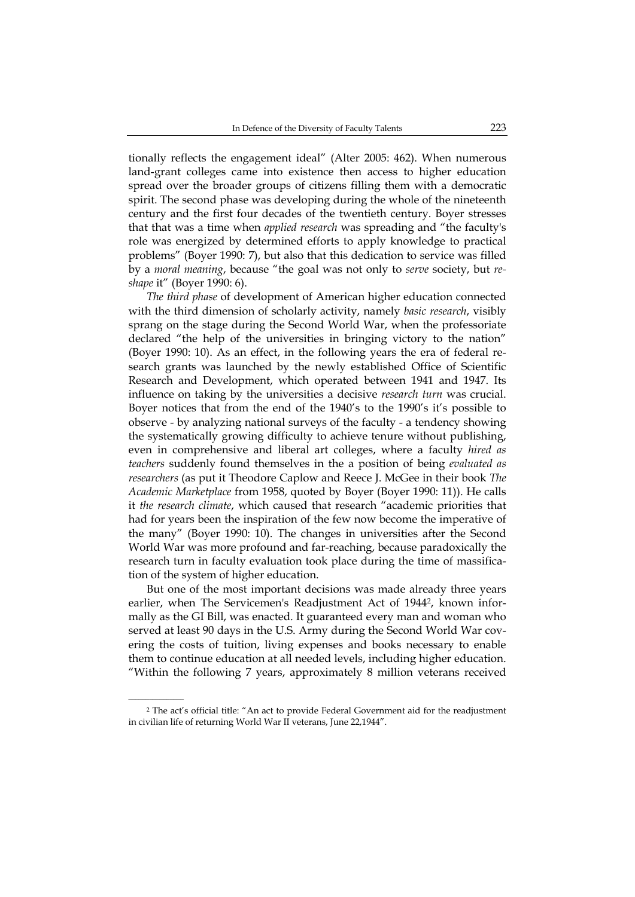tionally reflects the engagement ideal" (Alter 2005: 462). When numerous land-grant colleges came into existence then access to higher education spread over the broader groups of citizens filling them with a democratic spirit. The second phase was developing during the whole of the nineteenth century and the first four decades of the twentieth century. Boyer stresses that that was a time when *applied research* was spreading and "the faculty's role was energized by determined efforts to apply knowledge to practical problems" (Boyer 1990: 7), but also that this dedication to service was filled by a *moral meaning*, because "the goal was not only to *serve* society, but *reshape* it" (Boyer 1990: 6).

*The third phase* of development of American higher education connected with the third dimension of scholarly activity, namely *basic research*, visibly sprang on the stage during the Second World War, when the professoriate declared "the help of the universities in bringing victory to the nation" (Boyer 1990: 10). As an effect, in the following years the era of federal research grants was launched by the newly established Office of Scientific Research and Development, which operated between 1941 and 1947. Its influence on taking by the universities a decisive *research turn* was crucial. Boyer notices that from the end of the 1940's to the 1990's it's possible to observe - by analyzing national surveys of the faculty - a tendency showing the systematically growing difficulty to achieve tenure without publishing, even in comprehensive and liberal art colleges, where a faculty *hired as teachers* suddenly found themselves in the a position of being *evaluated as researchers* (as put it Theodore Caplow and Reece J. McGee in their book *The Academic Marketplace* from 1958, quoted by Boyer (Boyer 1990: 11)). He calls it *the research climate*, which caused that research "academic priorities that had for years been the inspiration of the few now become the imperative of the many" (Boyer 1990: 10). The changes in universities after the Second World War was more profound and far-reaching, because paradoxically the research turn in faculty evaluation took place during the time of massification of the system of higher education.

But one of the most important decisions was made already three years earlier, when The Servicemen's Readjustment Act of 1944<sup>2</sup>, known informally as the GI Bill, was enacted. It guaranteed every man and woman who served at least 90 days in the U.S. Army during the Second World War covering the costs of tuition, living expenses and books necessary to enable them to continue education at all needed levels, including higher education. "Within the following 7 years, approximately 8 million veterans received

 $\mathcal{L}=\mathcal{L}^{\mathcal{L}}$ 

<sup>2</sup> The act's official title: "An act to provide Federal Government aid for the readjustment in civilian life of returning World War II veterans, June 22,1944".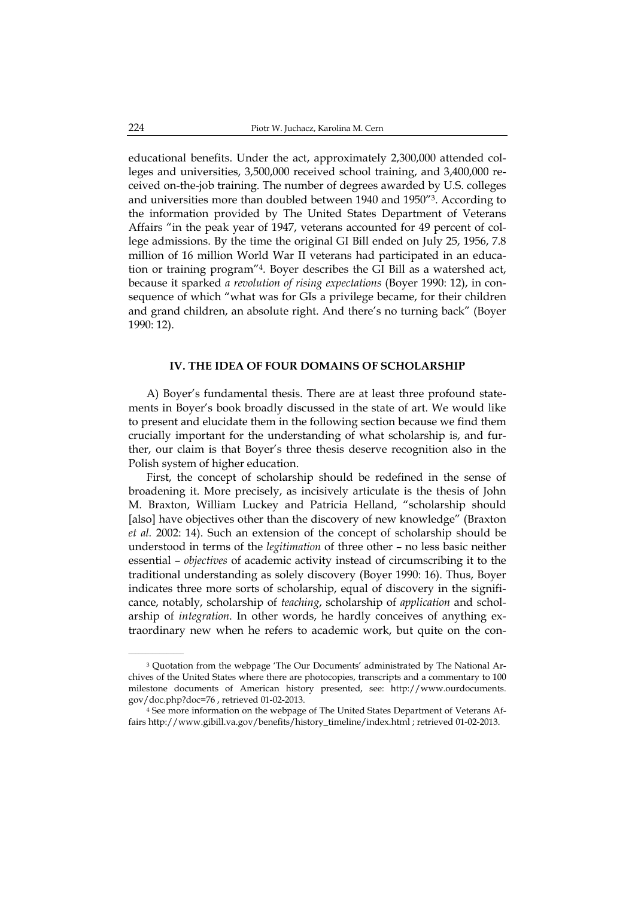educational benefits. Under the act, approximately 2,300,000 attended colleges and universities, 3,500,000 received school training, and 3,400,000 received on-the-job training. The number of degrees awarded by U.S. colleges and universities more than doubled between 1940 and 1950"3. According to the information provided by The United States Department of Veterans Affairs "in the peak year of 1947, veterans accounted for 49 percent of college admissions. By the time the original GI Bill ended on July 25, 1956, 7.8 million of 16 million World War II veterans had participated in an education or training program"4. Boyer describes the GI Bill as a watershed act, because it sparked *a revolution of rising expectations* (Boyer 1990: 12), in consequence of which "what was for GIs a privilege became, for their children and grand children, an absolute right. And there's no turning back" (Boyer 1990: 12).

## **IV. THE IDEA OF FOUR DOMAINS OF SCHOLARSHIP**

A) Boyer's fundamental thesis. There are at least three profound statements in Boyer's book broadly discussed in the state of art. We would like to present and elucidate them in the following section because we find them crucially important for the understanding of what scholarship is, and further, our claim is that Boyer's three thesis deserve recognition also in the Polish system of higher education.

First, the concept of scholarship should be redefined in the sense of broadening it. More precisely, as incisively articulate is the thesis of John M. Braxton, William Luckey and Patricia Helland, "scholarship should [also] have objectives other than the discovery of new knowledge" (Braxton *et al.* 2002: 14). Such an extension of the concept of scholarship should be understood in terms of the *legitimation* of three other – no less basic neither essential – *objectives* of academic activity instead of circumscribing it to the traditional understanding as solely discovery (Boyer 1990: 16). Thus, Boyer indicates three more sorts of scholarship, equal of discovery in the significance, notably, scholarship of *teaching*, scholarship of *application* and scholarship of *integration*. In other words, he hardly conceives of anything extraordinary new when he refers to academic work, but quite on the con-

<sup>3</sup> Quotation from the webpage 'The Our Documents' administrated by The National Archives of the United States where there are photocopies, transcripts and a commentary to 100 milestone documents of American history presented, see: http://www.ourdocuments. gov/doc.php?doc=76 , retrieved 01-02-2013.

<sup>4</sup> See more information on the webpage of The United States Department of Veterans Affairs http://www.gibill.va.gov/benefits/history\_timeline/index.html ; retrieved 01-02-2013.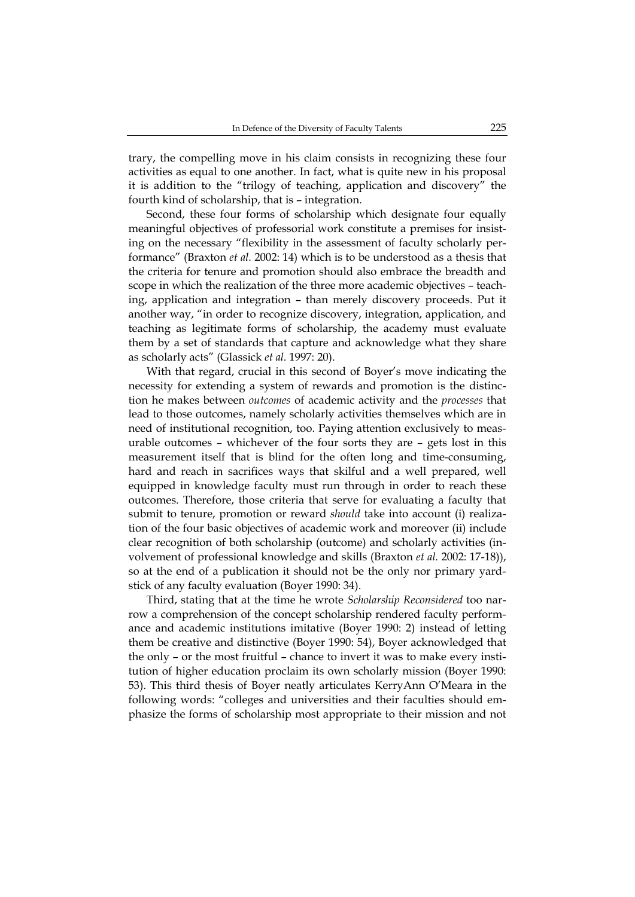trary, the compelling move in his claim consists in recognizing these four activities as equal to one another. In fact, what is quite new in his proposal it is addition to the "trilogy of teaching, application and discovery" the fourth kind of scholarship, that is – integration.

Second, these four forms of scholarship which designate four equally meaningful objectives of professorial work constitute a premises for insisting on the necessary "flexibility in the assessment of faculty scholarly performance" (Braxton *et al.* 2002: 14) which is to be understood as a thesis that the criteria for tenure and promotion should also embrace the breadth and scope in which the realization of the three more academic objectives – teaching, application and integration – than merely discovery proceeds. Put it another way, "in order to recognize discovery, integration, application, and teaching as legitimate forms of scholarship, the academy must evaluate them by a set of standards that capture and acknowledge what they share as scholarly acts" (Glassick *et al.* 1997: 20).

With that regard, crucial in this second of Boyer's move indicating the necessity for extending a system of rewards and promotion is the distinction he makes between *outcomes* of academic activity and the *processes* that lead to those outcomes, namely scholarly activities themselves which are in need of institutional recognition, too. Paying attention exclusively to measurable outcomes – whichever of the four sorts they are – gets lost in this measurement itself that is blind for the often long and time-consuming, hard and reach in sacrifices ways that skilful and a well prepared, well equipped in knowledge faculty must run through in order to reach these outcomes. Therefore, those criteria that serve for evaluating a faculty that submit to tenure, promotion or reward *should* take into account (i) realization of the four basic objectives of academic work and moreover (ii) include clear recognition of both scholarship (outcome) and scholarly activities (involvement of professional knowledge and skills (Braxton *et al.* 2002: 17-18)), so at the end of a publication it should not be the only nor primary yardstick of any faculty evaluation (Boyer 1990: 34).

Third, stating that at the time he wrote *Scholarship Reconsidered* too narrow a comprehension of the concept scholarship rendered faculty performance and academic institutions imitative (Boyer 1990: 2) instead of letting them be creative and distinctive (Boyer 1990: 54), Boyer acknowledged that the only – or the most fruitful – chance to invert it was to make every institution of higher education proclaim its own scholarly mission (Boyer 1990: 53). This third thesis of Boyer neatly articulates KerryAnn O'Meara in the following words: "colleges and universities and their faculties should emphasize the forms of scholarship most appropriate to their mission and not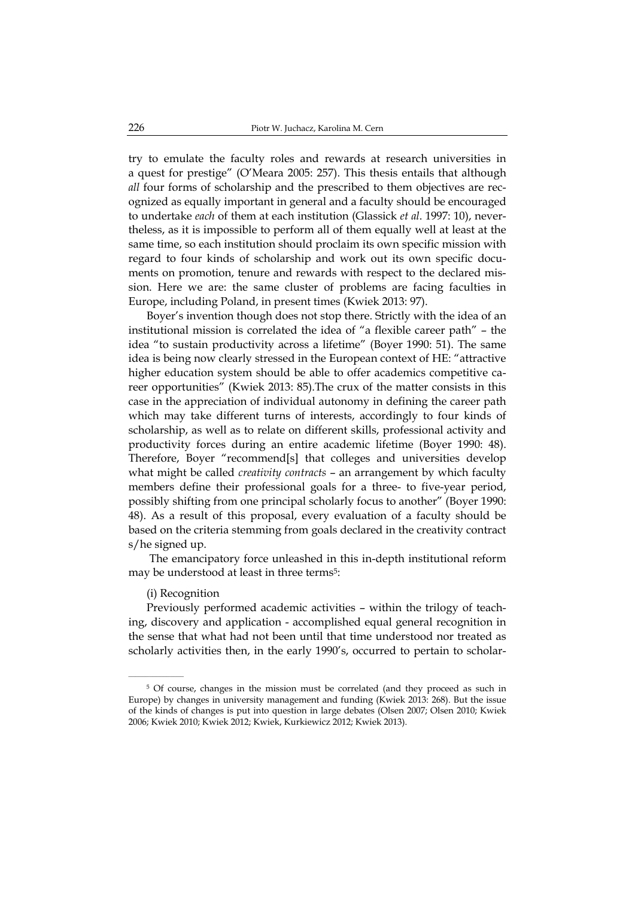try to emulate the faculty roles and rewards at research universities in a quest for prestige" (O'Meara 2005: 257). This thesis entails that although *all* four forms of scholarship and the prescribed to them objectives are recognized as equally important in general and a faculty should be encouraged to undertake *each* of them at each institution (Glassick *et al*. 1997: 10), nevertheless, as it is impossible to perform all of them equally well at least at the same time, so each institution should proclaim its own specific mission with regard to four kinds of scholarship and work out its own specific documents on promotion, tenure and rewards with respect to the declared mission. Here we are: the same cluster of problems are facing faculties in Europe, including Poland, in present times (Kwiek 2013: 97).

Boyer's invention though does not stop there. Strictly with the idea of an institutional mission is correlated the idea of "a flexible career path" – the idea "to sustain productivity across a lifetime" (Boyer 1990: 51). The same idea is being now clearly stressed in the European context of HE: "attractive higher education system should be able to offer academics competitive career opportunities" (Kwiek 2013: 85).The crux of the matter consists in this case in the appreciation of individual autonomy in defining the career path which may take different turns of interests, accordingly to four kinds of scholarship, as well as to relate on different skills, professional activity and productivity forces during an entire academic lifetime (Boyer 1990: 48). Therefore, Boyer "recommend[s] that colleges and universities develop what might be called *creativity contracts* – an arrangement by which faculty members define their professional goals for a three- to five-year period, possibly shifting from one principal scholarly focus to another" (Boyer 1990: 48). As a result of this proposal, every evaluation of a faculty should be based on the criteria stemming from goals declared in the creativity contract s/he signed up.

 The emancipatory force unleashed in this in-depth institutional reform may be understood at least in three terms<sup>5</sup>:

#### (i) Recognition

Previously performed academic activities – within the trilogy of teaching, discovery and application - accomplished equal general recognition in the sense that what had not been until that time understood nor treated as scholarly activities then, in the early 1990's, occurred to pertain to scholar-

<sup>5</sup> Of course, changes in the mission must be correlated (and they proceed as such in Europe) by changes in university management and funding (Kwiek 2013: 268). But the issue of the kinds of changes is put into question in large debates (Olsen 2007; Olsen 2010; Kwiek 2006; Kwiek 2010; Kwiek 2012; Kwiek, Kurkiewicz 2012; Kwiek 2013).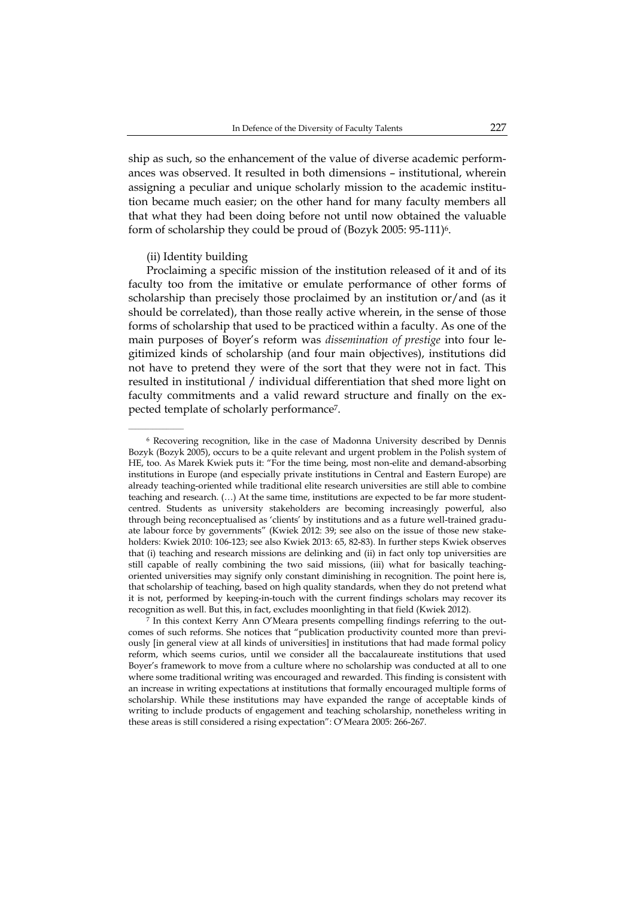ship as such, so the enhancement of the value of diverse academic performances was observed. It resulted in both dimensions – institutional, wherein assigning a peculiar and unique scholarly mission to the academic institution became much easier; on the other hand for many faculty members all that what they had been doing before not until now obtained the valuable form of scholarship they could be proud of (Bozyk 2005: 95-111)6.

### (ii) Identity building

Proclaiming a specific mission of the institution released of it and of its faculty too from the imitative or emulate performance of other forms of scholarship than precisely those proclaimed by an institution or/and (as it should be correlated), than those really active wherein, in the sense of those forms of scholarship that used to be practiced within a faculty. As one of the main purposes of Boyer's reform was *dissemination of prestige* into four legitimized kinds of scholarship (and four main objectives), institutions did not have to pretend they were of the sort that they were not in fact. This resulted in institutional / individual differentiation that shed more light on faculty commitments and a valid reward structure and finally on the expected template of scholarly performance7.

<sup>6</sup> Recovering recognition, like in the case of Madonna University described by Dennis Bozyk (Bozyk 2005), occurs to be a quite relevant and urgent problem in the Polish system of HE, too. As Marek Kwiek puts it: "For the time being, most non-elite and demand-absorbing institutions in Europe (and especially private institutions in Central and Eastern Europe) are already teaching-oriented while traditional elite research universities are still able to combine teaching and research. (…) At the same time, institutions are expected to be far more studentcentred. Students as university stakeholders are becoming increasingly powerful, also through being reconceptualised as 'clients' by institutions and as a future well-trained graduate labour force by governments" (Kwiek 2012: 39; see also on the issue of those new stakeholders: Kwiek 2010: 106-123; see also Kwiek 2013: 65, 82-83). In further steps Kwiek observes that (i) teaching and research missions are delinking and (ii) in fact only top universities are still capable of really combining the two said missions, (iii) what for basically teachingoriented universities may signify only constant diminishing in recognition. The point here is, that scholarship of teaching, based on high quality standards, when they do not pretend what it is not, performed by keeping-in-touch with the current findings scholars may recover its recognition as well. But this, in fact, excludes moonlighting in that field (Kwiek 2012).

<sup>7</sup> In this context Kerry Ann O'Meara presents compelling findings referring to the outcomes of such reforms. She notices that "publication productivity counted more than previously [in general view at all kinds of universities] in institutions that had made formal policy reform, which seems curios, until we consider all the baccalaureate institutions that used Boyer's framework to move from a culture where no scholarship was conducted at all to one where some traditional writing was encouraged and rewarded. This finding is consistent with an increase in writing expectations at institutions that formally encouraged multiple forms of scholarship. While these institutions may have expanded the range of acceptable kinds of writing to include products of engagement and teaching scholarship, nonetheless writing in these areas is still considered a rising expectation": O'Meara 2005: 266-267.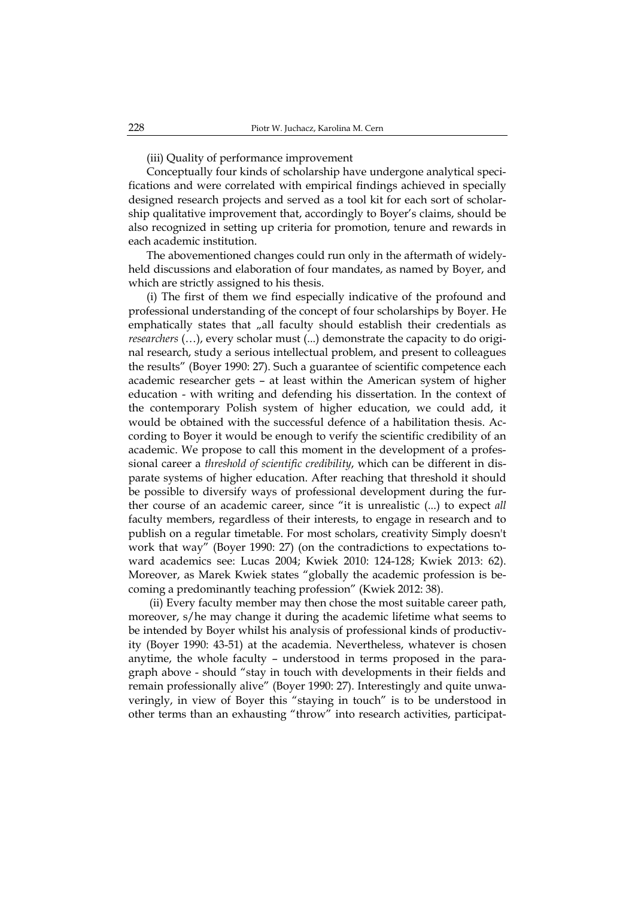(iii) Quality of performance improvement

Conceptually four kinds of scholarship have undergone analytical specifications and were correlated with empirical findings achieved in specially designed research projects and served as a tool kit for each sort of scholarship qualitative improvement that, accordingly to Boyer's claims, should be also recognized in setting up criteria for promotion, tenure and rewards in each academic institution.

The abovementioned changes could run only in the aftermath of widelyheld discussions and elaboration of four mandates, as named by Boyer, and which are strictly assigned to his thesis.

(i) The first of them we find especially indicative of the profound and professional understanding of the concept of four scholarships by Boyer. He emphatically states that "all faculty should establish their credentials as *researchers* (…), every scholar must (...) demonstrate the capacity to do original research, study a serious intellectual problem, and present to colleagues the results" (Boyer 1990: 27). Such a guarantee of scientific competence each academic researcher gets – at least within the American system of higher education - with writing and defending his dissertation. In the context of the contemporary Polish system of higher education, we could add, it would be obtained with the successful defence of a habilitation thesis. According to Boyer it would be enough to verify the scientific credibility of an academic. We propose to call this moment in the development of a professional career a *threshold of scientific credibility*, which can be different in disparate systems of higher education. After reaching that threshold it should be possible to diversify ways of professional development during the further course of an academic career, since "it is unrealistic (...) to expect *all*  faculty members, regardless of their interests, to engage in research and to publish on a regular timetable. For most scholars, creativity Simply doesn't work that way" (Boyer 1990: 27) (on the contradictions to expectations toward academics see: Lucas 2004; Kwiek 2010: 124-128; Kwiek 2013: 62). Moreover, as Marek Kwiek states "globally the academic profession is becoming a predominantly teaching profession" (Kwiek 2012: 38).

 (ii) Every faculty member may then chose the most suitable career path, moreover, s/he may change it during the academic lifetime what seems to be intended by Boyer whilst his analysis of professional kinds of productivity (Boyer 1990: 43-51) at the academia. Nevertheless, whatever is chosen anytime, the whole faculty – understood in terms proposed in the paragraph above - should "stay in touch with developments in their fields and remain professionally alive" (Boyer 1990: 27). Interestingly and quite unwaveringly, in view of Boyer this "staying in touch" is to be understood in other terms than an exhausting "throw" into research activities, participat-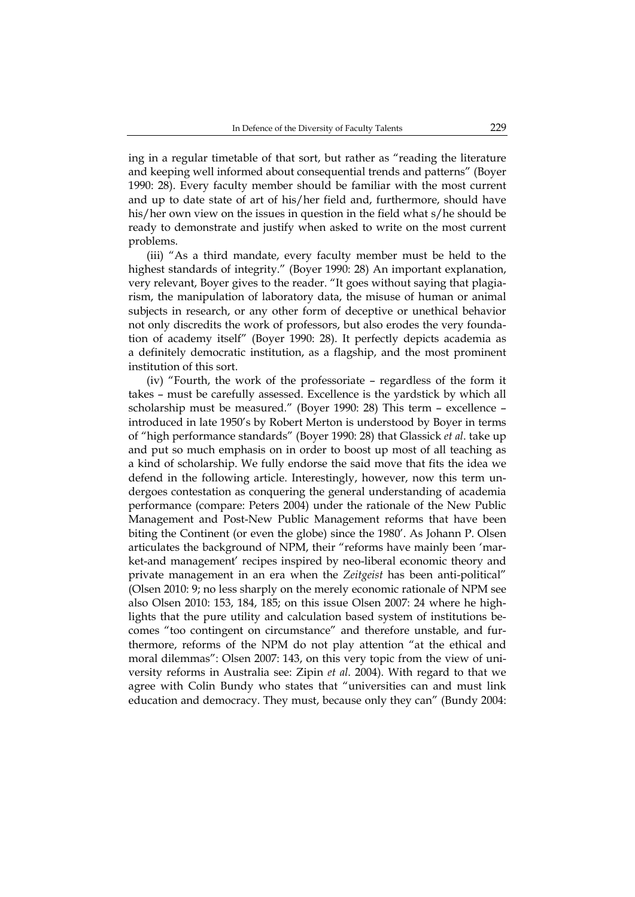ing in a regular timetable of that sort, but rather as "reading the literature and keeping well informed about consequential trends and patterns" (Boyer 1990: 28). Every faculty member should be familiar with the most current and up to date state of art of his/her field and, furthermore, should have his/her own view on the issues in question in the field what s/he should be ready to demonstrate and justify when asked to write on the most current problems.

(iii) "As a third mandate, every faculty member must be held to the highest standards of integrity." (Boyer 1990: 28) An important explanation, very relevant, Boyer gives to the reader. "It goes without saying that plagiarism, the manipulation of laboratory data, the misuse of human or animal subjects in research, or any other form of deceptive or unethical behavior not only discredits the work of professors, but also erodes the very foundation of academy itself" (Boyer 1990: 28). It perfectly depicts academia as a definitely democratic institution, as a flagship, and the most prominent institution of this sort.

(iv) "Fourth, the work of the professoriate – regardless of the form it takes – must be carefully assessed. Excellence is the yardstick by which all scholarship must be measured." (Boyer 1990: 28) This term – excellence – introduced in late 1950's by Robert Merton is understood by Boyer in terms of "high performance standards" (Boyer 1990: 28) that Glassick *et al*. take up and put so much emphasis on in order to boost up most of all teaching as a kind of scholarship. We fully endorse the said move that fits the idea we defend in the following article. Interestingly, however, now this term undergoes contestation as conquering the general understanding of academia performance (compare: Peters 2004) under the rationale of the New Public Management and Post-New Public Management reforms that have been biting the Continent (or even the globe) since the 1980'. As Johann P. Olsen articulates the background of NPM, their "reforms have mainly been 'market-and management' recipes inspired by neo-liberal economic theory and private management in an era when the *Zeitgeist* has been anti-political" (Olsen 2010: 9; no less sharply on the merely economic rationale of NPM see also Olsen 2010: 153, 184, 185; on this issue Olsen 2007: 24 where he highlights that the pure utility and calculation based system of institutions becomes "too contingent on circumstance" and therefore unstable, and furthermore, reforms of the NPM do not play attention "at the ethical and moral dilemmas": Olsen 2007: 143, on this very topic from the view of university reforms in Australia see: Zipin *et al*. 2004). With regard to that we agree with Colin Bundy who states that "universities can and must link education and democracy. They must, because only they can" (Bundy 2004: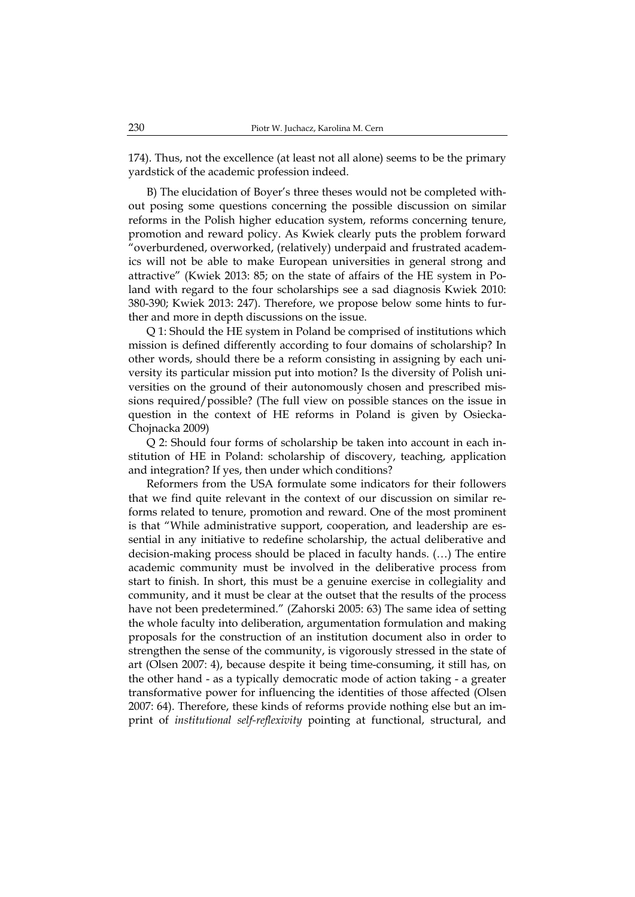174). Thus, not the excellence (at least not all alone) seems to be the primary yardstick of the academic profession indeed.

B) The elucidation of Boyer's three theses would not be completed without posing some questions concerning the possible discussion on similar reforms in the Polish higher education system, reforms concerning tenure, promotion and reward policy. As Kwiek clearly puts the problem forward "overburdened, overworked, (relatively) underpaid and frustrated academics will not be able to make European universities in general strong and attractive" (Kwiek 2013: 85; on the state of affairs of the HE system in Poland with regard to the four scholarships see a sad diagnosis Kwiek 2010: 380-390; Kwiek 2013: 247). Therefore, we propose below some hints to further and more in depth discussions on the issue.

Q 1: Should the HE system in Poland be comprised of institutions which mission is defined differently according to four domains of scholarship? In other words, should there be a reform consisting in assigning by each university its particular mission put into motion? Is the diversity of Polish universities on the ground of their autonomously chosen and prescribed missions required/possible? (The full view on possible stances on the issue in question in the context of HE reforms in Poland is given by Osiecka-Chojnacka 2009)

Q 2: Should four forms of scholarship be taken into account in each institution of HE in Poland: scholarship of discovery, teaching, application and integration? If yes, then under which conditions?

Reformers from the USA formulate some indicators for their followers that we find quite relevant in the context of our discussion on similar reforms related to tenure, promotion and reward. One of the most prominent is that "While administrative support, cooperation, and leadership are essential in any initiative to redefine scholarship, the actual deliberative and decision-making process should be placed in faculty hands. (…) The entire academic community must be involved in the deliberative process from start to finish. In short, this must be a genuine exercise in collegiality and community, and it must be clear at the outset that the results of the process have not been predetermined." (Zahorski 2005: 63) The same idea of setting the whole faculty into deliberation, argumentation formulation and making proposals for the construction of an institution document also in order to strengthen the sense of the community, is vigorously stressed in the state of art (Olsen 2007: 4), because despite it being time-consuming, it still has, on the other hand - as a typically democratic mode of action taking - a greater transformative power for influencing the identities of those affected (Olsen 2007: 64). Therefore, these kinds of reforms provide nothing else but an imprint of *institutional self-reflexivity* pointing at functional, structural, and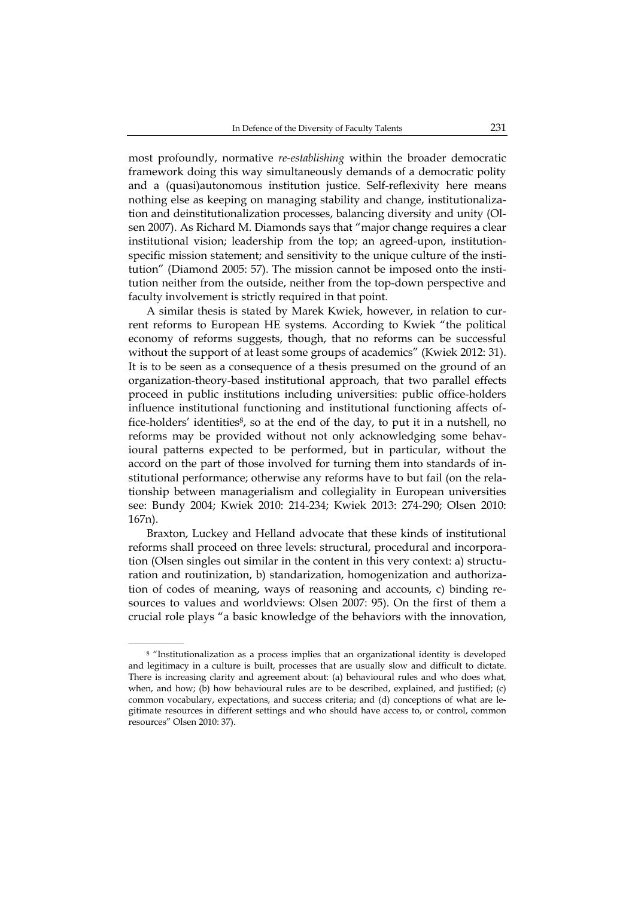most profoundly, normative *re-establishing* within the broader democratic framework doing this way simultaneously demands of a democratic polity and a (quasi)autonomous institution justice. Self-reflexivity here means nothing else as keeping on managing stability and change, institutionalization and deinstitutionalization processes, balancing diversity and unity (Olsen 2007). As Richard M. Diamonds says that "major change requires a clear institutional vision; leadership from the top; an agreed-upon, institutionspecific mission statement; and sensitivity to the unique culture of the institution" (Diamond 2005: 57). The mission cannot be imposed onto the institution neither from the outside, neither from the top-down perspective and faculty involvement is strictly required in that point.

A similar thesis is stated by Marek Kwiek, however, in relation to current reforms to European HE systems. According to Kwiek "the political economy of reforms suggests, though, that no reforms can be successful without the support of at least some groups of academics" (Kwiek 2012: 31). It is to be seen as a consequence of a thesis presumed on the ground of an organization-theory-based institutional approach, that two parallel effects proceed in public institutions including universities: public office-holders influence institutional functioning and institutional functioning affects office-holders' identities<sup>8</sup>, so at the end of the day, to put it in a nutshell, no reforms may be provided without not only acknowledging some behavioural patterns expected to be performed, but in particular, without the accord on the part of those involved for turning them into standards of institutional performance; otherwise any reforms have to but fail (on the relationship between managerialism and collegiality in European universities see: Bundy 2004; Kwiek 2010: 214-234; Kwiek 2013: 274-290; Olsen 2010: 167n).

Braxton, Luckey and Helland advocate that these kinds of institutional reforms shall proceed on three levels: structural, procedural and incorporation (Olsen singles out similar in the content in this very context: a) structuration and routinization, b) standarization, homogenization and authorization of codes of meaning, ways of reasoning and accounts, c) binding resources to values and worldviews: Olsen 2007: 95). On the first of them a crucial role plays "a basic knowledge of the behaviors with the innovation,

 $\mathcal{L}=\mathcal{L}^{\mathcal{L}}$ 

<sup>8 &</sup>quot;Institutionalization as a process implies that an organizational identity is developed and legitimacy in a culture is built, processes that are usually slow and difficult to dictate. There is increasing clarity and agreement about: (a) behavioural rules and who does what, when, and how; (b) how behavioural rules are to be described, explained, and justified; (c) common vocabulary, expectations, and success criteria; and (d) conceptions of what are legitimate resources in different settings and who should have access to, or control, common resources" Olsen 2010: 37).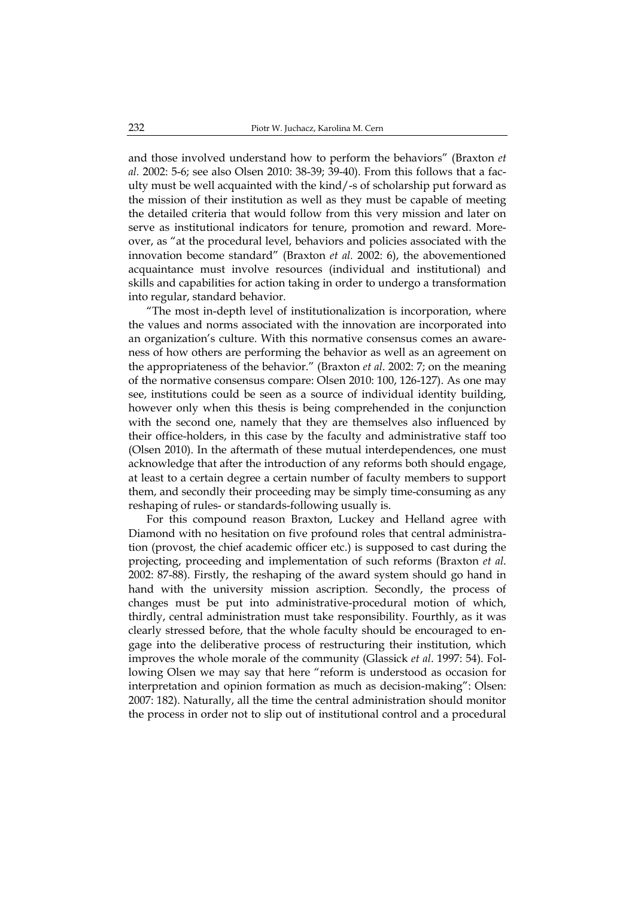and those involved understand how to perform the behaviors" (Braxton *et al.* 2002: 5-6; see also Olsen 2010: 38-39; 39-40). From this follows that a faculty must be well acquainted with the kind/-s of scholarship put forward as the mission of their institution as well as they must be capable of meeting the detailed criteria that would follow from this very mission and later on serve as institutional indicators for tenure, promotion and reward. Moreover, as "at the procedural level, behaviors and policies associated with the innovation become standard" (Braxton *et al.* 2002: 6), the abovementioned acquaintance must involve resources (individual and institutional) and skills and capabilities for action taking in order to undergo a transformation into regular, standard behavior.

"The most in-depth level of institutionalization is incorporation, where the values and norms associated with the innovation are incorporated into an organization's culture. With this normative consensus comes an awareness of how others are performing the behavior as well as an agreement on the appropriateness of the behavior." (Braxton *et al*. 2002: 7; on the meaning of the normative consensus compare: Olsen 2010: 100, 126-127). As one may see, institutions could be seen as a source of individual identity building, however only when this thesis is being comprehended in the conjunction with the second one, namely that they are themselves also influenced by their office-holders, in this case by the faculty and administrative staff too (Olsen 2010). In the aftermath of these mutual interdependences, one must acknowledge that after the introduction of any reforms both should engage, at least to a certain degree a certain number of faculty members to support them, and secondly their proceeding may be simply time-consuming as any reshaping of rules- or standards-following usually is.

For this compound reason Braxton, Luckey and Helland agree with Diamond with no hesitation on five profound roles that central administration (provost, the chief academic officer etc.) is supposed to cast during the projecting, proceeding and implementation of such reforms (Braxton *et al*. 2002: 87-88). Firstly, the reshaping of the award system should go hand in hand with the university mission ascription. Secondly, the process of changes must be put into administrative-procedural motion of which, thirdly, central administration must take responsibility. Fourthly, as it was clearly stressed before, that the whole faculty should be encouraged to engage into the deliberative process of restructuring their institution, which improves the whole morale of the community (Glassick *et al*. 1997: 54). Following Olsen we may say that here "reform is understood as occasion for interpretation and opinion formation as much as decision-making": Olsen: 2007: 182). Naturally, all the time the central administration should monitor the process in order not to slip out of institutional control and a procedural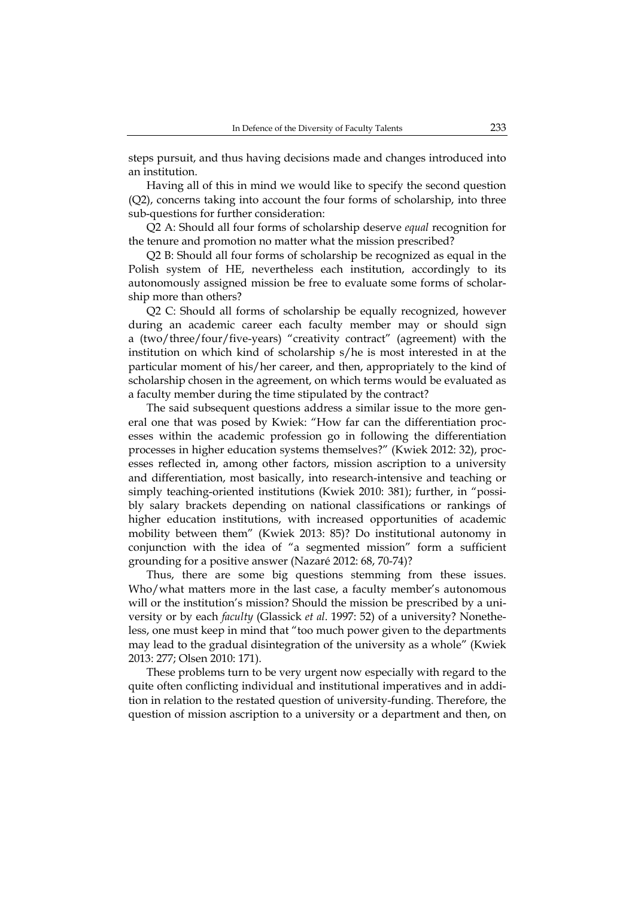steps pursuit, and thus having decisions made and changes introduced into an institution.

Having all of this in mind we would like to specify the second question (Q2), concerns taking into account the four forms of scholarship, into three sub-questions for further consideration:

Q2 A: Should all four forms of scholarship deserve *equal* recognition for the tenure and promotion no matter what the mission prescribed?

Q2 B: Should all four forms of scholarship be recognized as equal in the Polish system of HE, nevertheless each institution, accordingly to its autonomously assigned mission be free to evaluate some forms of scholarship more than others?

Q2 C: Should all forms of scholarship be equally recognized, however during an academic career each faculty member may or should sign a (two/three/four/five-years) "creativity contract" (agreement) with the institution on which kind of scholarship s/he is most interested in at the particular moment of his/her career, and then, appropriately to the kind of scholarship chosen in the agreement, on which terms would be evaluated as a faculty member during the time stipulated by the contract?

The said subsequent questions address a similar issue to the more general one that was posed by Kwiek: "How far can the differentiation processes within the academic profession go in following the differentiation processes in higher education systems themselves?" (Kwiek 2012: 32), processes reflected in, among other factors, mission ascription to a university and differentiation, most basically, into research-intensive and teaching or simply teaching-oriented institutions (Kwiek 2010: 381); further, in "possibly salary brackets depending on national classifications or rankings of higher education institutions, with increased opportunities of academic mobility between them" (Kwiek 2013: 85)? Do institutional autonomy in conjunction with the idea of "a segmented mission" form a sufficient grounding for a positive answer (Nazaré 2012: 68, 70-74)?

Thus, there are some big questions stemming from these issues. Who/what matters more in the last case, a faculty member's autonomous will or the institution's mission? Should the mission be prescribed by a university or by each *faculty* (Glassick *et al*. 1997: 52) of a university? Nonetheless, one must keep in mind that "too much power given to the departments may lead to the gradual disintegration of the university as a whole" (Kwiek 2013: 277; Olsen 2010: 171).

These problems turn to be very urgent now especially with regard to the quite often conflicting individual and institutional imperatives and in addition in relation to the restated question of university-funding. Therefore, the question of mission ascription to a university or a department and then, on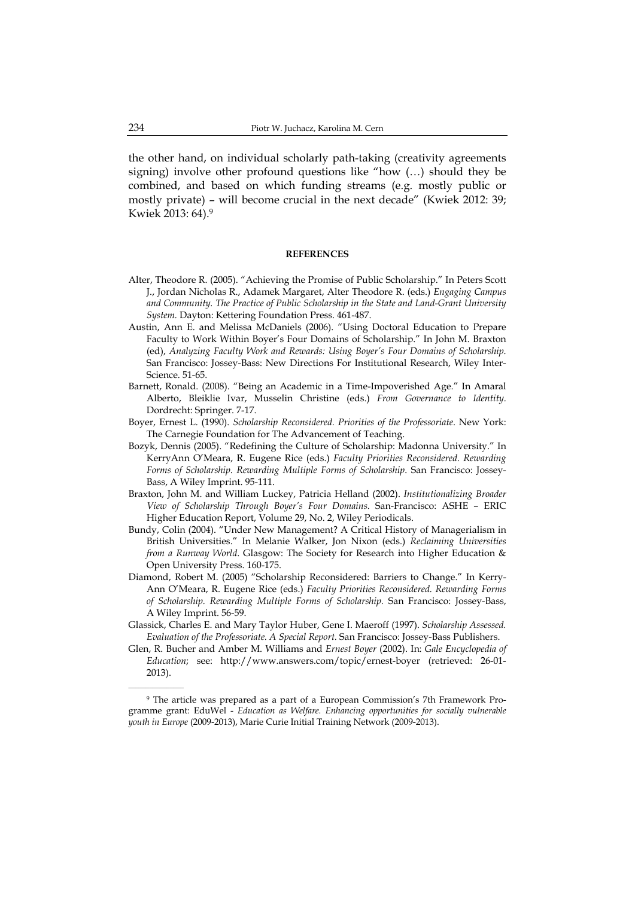the other hand, on individual scholarly path-taking (creativity agreements signing) involve other profound questions like "how (…) should they be combined, and based on which funding streams (e.g. mostly public or mostly private) – will become crucial in the next decade" (Kwiek 2012: 39; Kwiek 2013: 64).9

#### **REFERENCES**

- Alter, Theodore R. (2005). "Achieving the Promise of Public Scholarship." In Peters Scott J., Jordan Nicholas R., Adamek Margaret, Alter Theodore R. (eds.) *Engaging Campus and Community. The Practice of Public Scholarship in the State and Land-Grant University System.* Dayton: Kettering Foundation Press. 461-487.
- Austin, Ann E. and Melissa McDaniels (2006). "Using Doctoral Education to Prepare Faculty to Work Within Boyer's Four Domains of Scholarship." In John M. Braxton (ed), *Analyzing Faculty Work and Rewards: Using Boyer's Four Domains of Scholarship*. San Francisco: Jossey-Bass: New Directions For Institutional Research, Wiley Inter-Science. 51-65.
- Barnett, Ronald. (2008). "Being an Academic in a Time-Impoverished Age*.*" In Amaral Alberto, Bleiklie Ivar, Musselin Christine (eds.) *From Governance to Identity*. Dordrecht: Springer. 7-17.
- Boyer, Ernest L. (1990). *Scholarship Reconsidered. Priorities of the Professoriate*. New York: The Carnegie Foundation for The Advancement of Teaching.
- Bozyk, Dennis (2005). "Redefining the Culture of Scholarship: Madonna University." In KerryAnn O'Meara, R. Eugene Rice (eds.) *Faculty Priorities Reconsidered. Rewarding Forms of Scholarship. Rewarding Multiple Forms of Scholarship*. San Francisco: Jossey-Bass, A Wiley Imprint. 95-111.
- Braxton, John M. and William Luckey, Patricia Helland (2002). *Institutionalizing Broader View of Scholarship Through Boyer's Four Domains*. San-Francisco: ASHE – ERIC Higher Education Report, Volume 29, No. 2, Wiley Periodicals.
- Bundy, Colin (2004). "Under New Management? A Critical History of Managerialism in British Universities." In Melanie Walker, Jon Nixon (eds.) *Reclaiming Universities from a Runway World*. Glasgow: The Society for Research into Higher Education & Open University Press. 160-175.
- Diamond, Robert M. (2005) "Scholarship Reconsidered: Barriers to Change." In Kerry-Ann O'Meara, R. Eugene Rice (eds.) *Faculty Priorities Reconsidered. Rewarding Forms of Scholarship. Rewarding Multiple Forms of Scholarship.* San Francisco: Jossey-Bass, A Wiley Imprint. 56-59.
- Glassick, Charles E. and Mary Taylor Huber, Gene I. Maeroff (1997). *Scholarship Assessed. Evaluation of the Professoriate. A Special Report.* San Francisco: Jossey-Bass Publishers.
- Glen, R. Bucher and Amber M. Williams and *Ernest Boyer* (2002). In: *Gale Encyclopedia of Education*; see: http://www.answers.com/topic/ernest-boyer (retrieved: 26-01- 2013).

<sup>9</sup> The article was prepared as a part of a European Commission's 7th Framework Programme grant: EduWel - *Education as Welfare. Enhancing opportunities for socially vulnerable youth in Europe* (2009-2013), Marie Curie Initial Training Network (2009-2013).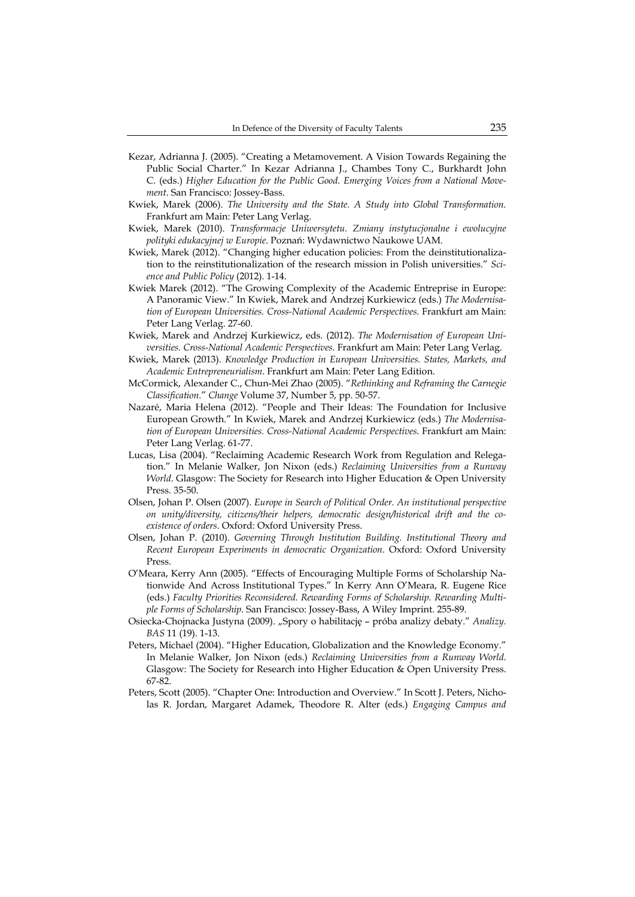- Kezar, Adrianna J. (2005). "Creating a Metamovement. A Vision Towards Regaining the Public Social Charter." In Kezar Adrianna J., Chambes Tony C., Burkhardt John C. (eds.) *Higher Education for the Public Good. Emerging Voices from a National Movement*. San Francisco: Jossey-Bass.
- Kwiek, Marek (2006). *The University and the State. A Study into Global Transformation.* Frankfurt am Main: Peter Lang Verlag.
- Kwiek, Marek (2010). *Transformacje Uniwersytetu. Zmiany instytucjonalne i ewolucyjne polityki edukacyjnej w Europie*. Poznań: Wydawnictwo Naukowe UAM.
- Kwiek, Marek (2012). "Changing higher education policies: From the deinstitutionalization to the reinstitutionalization of the research mission in Polish universities." *Science and Public Policy* (2012). 1-14.
- Kwiek Marek (2012). "The Growing Complexity of the Academic Entreprise in Europe: A Panoramic View." In Kwiek, Marek and Andrzej Kurkiewicz (eds.) *The Modernisation of European Universities. Cross-National Academic Perspectives*. Frankfurt am Main: Peter Lang Verlag. 27-60.
- Kwiek, Marek and Andrzej Kurkiewicz, eds. (2012). *The Modernisation of European Universities. Cross-National Academic Perspectives*. Frankfurt am Main: Peter Lang Verlag.
- Kwiek, Marek (2013). *Knowledge Production in European Universities. States, Markets, and Academic Entrepreneurialism*. Frankfurt am Main: Peter Lang Edition.
- McCormick, Alexander C., Chun-Mei Zhao (2005). "*Rethinking and Reframing the Carnegie Classification.*" *Change* Volume 37, Number 5, pp. 50-57.
- Nazaré, Maria Helena (2012). "People and Their Ideas: The Foundation for Inclusive European Growth." In Kwiek, Marek and Andrzej Kurkiewicz (eds.) *The Modernisation of European Universities. Cross-National Academic Perspectives*. Frankfurt am Main: Peter Lang Verlag. 61-77.
- Lucas, Lisa (2004). "Reclaiming Academic Research Work from Regulation and Relegation." In Melanie Walker, Jon Nixon (eds.) *Reclaiming Universities from a Runway World*. Glasgow: The Society for Research into Higher Education & Open University Press. 35-50.
- Olsen, Johan P. Olsen (2007). *Europe in Search of Political Order. An institutional perspective on unity/diversity, citizens/their helpers, democratic design/historical drift and the coexistence of orders*. Oxford: Oxford University Press.
- Olsen, Johan P. (2010). *Governing Through Institution Building. Institutional Theory and Recent European Experiments in democratic Organization.* Oxford: Oxford University Press.
- O'Meara, Kerry Ann (2005). "Effects of Encouraging Multiple Forms of Scholarship Nationwide And Across Institutional Types." In Kerry Ann O'Meara, R. Eugene Rice (eds.) *Faculty Priorities Reconsidered. Rewarding Forms of Scholarship. Rewarding Multiple Forms of Scholarship*. San Francisco: Jossey-Bass, A Wiley Imprint. 255-89.
- Osiecka-Chojnacka Justyna (2009). "Spory o habilitację próba analizy debaty." *Analizy. BAS* 11 (19). 1-13.
- Peters, Michael (2004). "Higher Education, Globalization and the Knowledge Economy." In Melanie Walker, Jon Nixon (eds.) *Reclaiming Universities from a Runway World*. Glasgow: The Society for Research into Higher Education & Open University Press. 67-82.
- Peters, Scott (2005). "Chapter One: Introduction and Overview." In Scott J. Peters, Nicholas R. Jordan, Margaret Adamek, Theodore R. Alter (eds.) *Engaging Campus and*